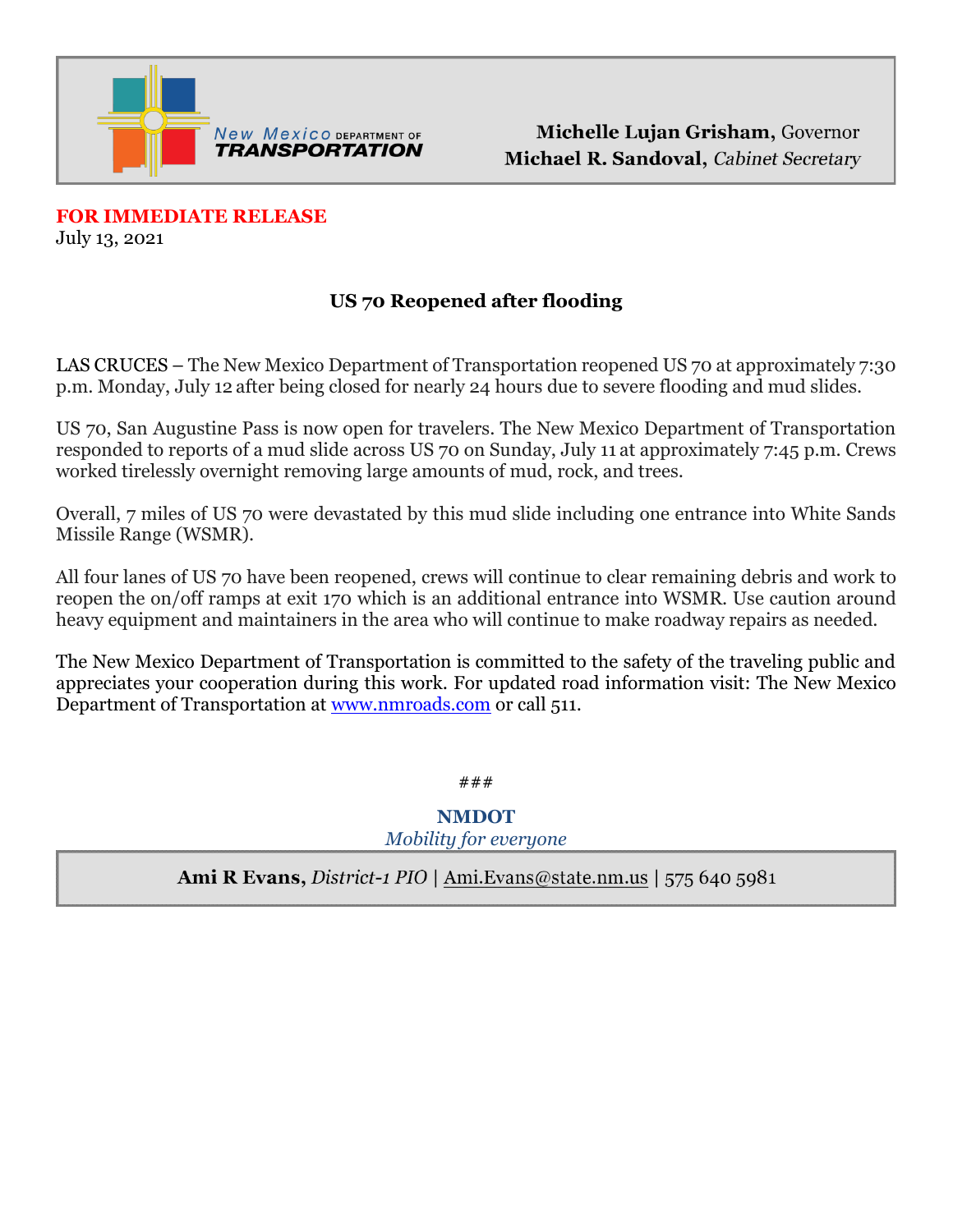

**FOR IMMEDIATE RELEASE**  July 13, 2021

## **US 70 Reopened after flooding**

LAS CRUCES – The New Mexico Department of Transportation reopened US 70 at approximately 7:30 p.m. Monday, July 12 after being closed for nearly 24 hours due to severe flooding and mud slides.

US 70, San Augustine Pass is now open for travelers. The New Mexico Department of Transportation responded to reports of a mud slide across US 70 on Sunday, July 11 at approximately 7:45 p.m. Crews worked tirelessly overnight removing large amounts of mud, rock, and trees.

Overall, 7 miles of US 70 were devastated by this mud slide including one entrance into White Sands Missile Range (WSMR).

All four lanes of US 70 have been reopened, crews will continue to clear remaining debris and work to reopen the on/off ramps at exit 170 which is an additional entrance into WSMR. Use caution around heavy equipment and maintainers in the area who will continue to make roadway repairs as needed.

The New Mexico Department of Transportation is committed to the safety of the traveling public and appreciates your cooperation during this work. For updated road information visit: The New Mexico Department of Transportation at [www.nmroads.com](http://www.nmroads.com/) or call 511.

###

**NMDOT** *Mobility for everyone*

Ami R Evans, *District-1 PIO* | Ami. Evans@state.nm.us | 575 640 5981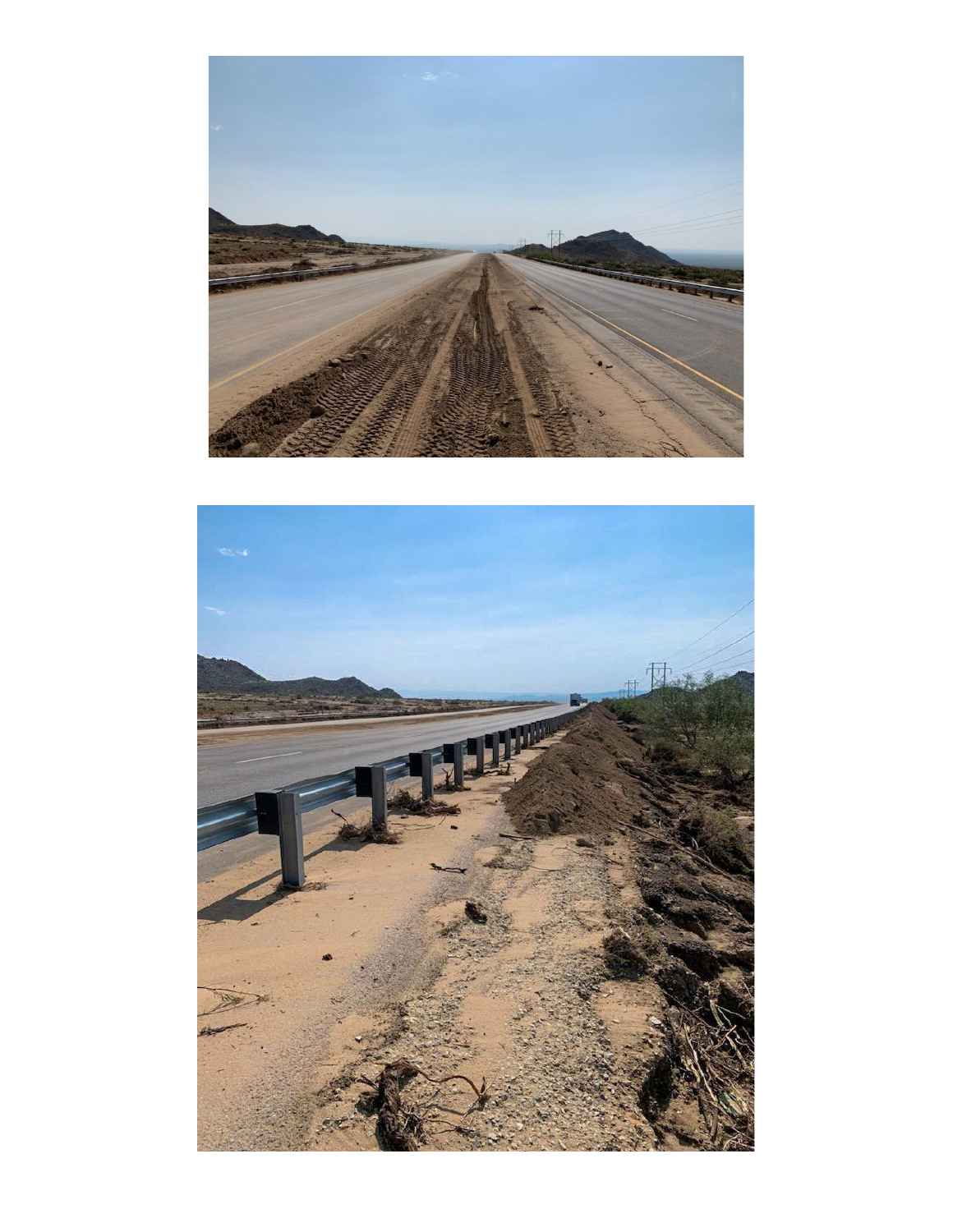

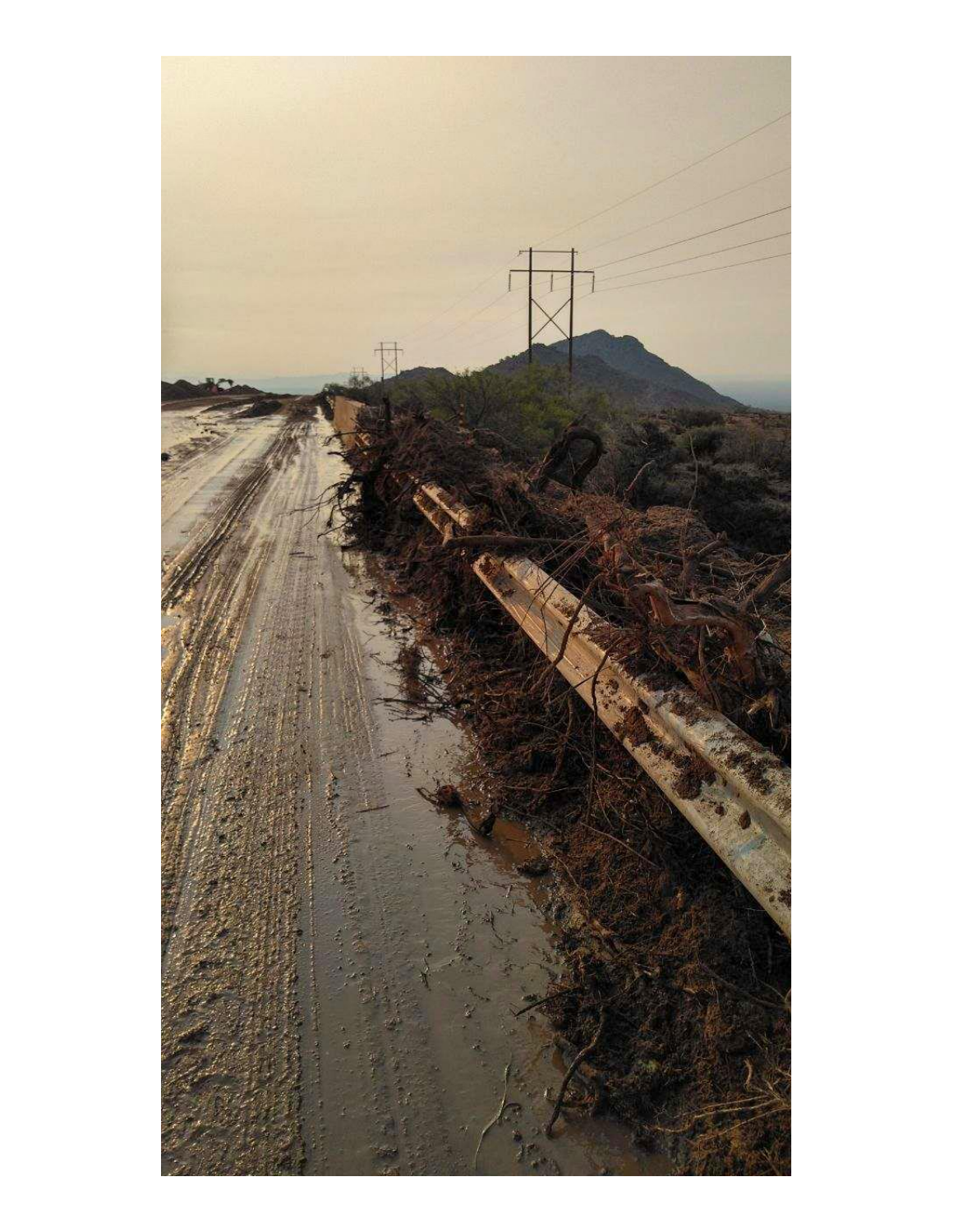